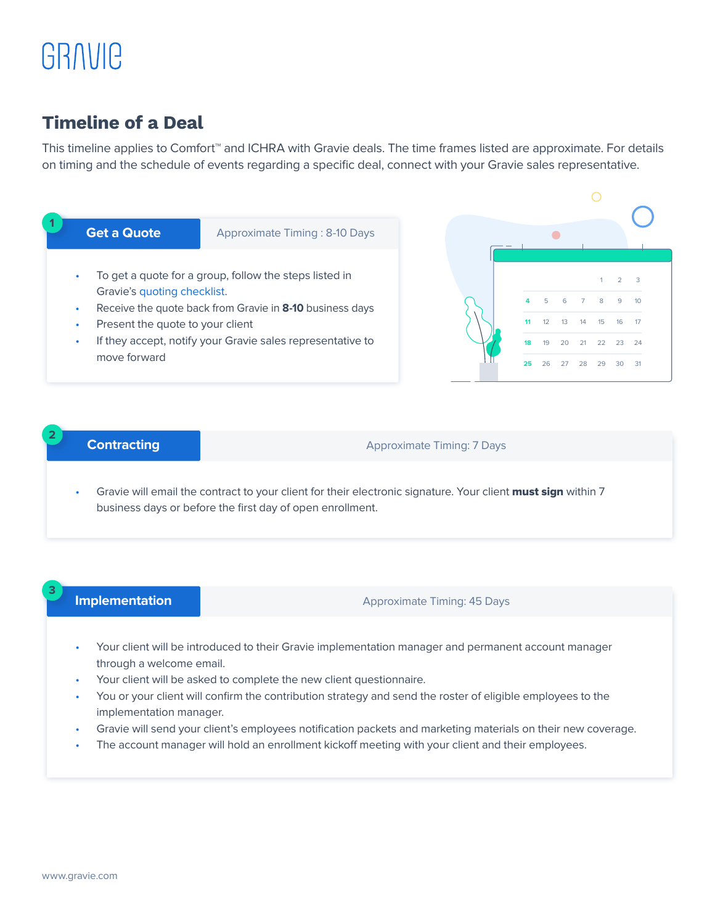# GRAVIC

## Timeline of a Deal

This timeline applies to Comfort™ and ICHRA with Gravie deals. The time frames listed are approximate. For details on timing and the schedule of events regarding a specific deal, connect with your Gravie sales representative.



## **Contracting**

### Approximate Timing: 7 Days

Gravie will email the contract to your client for their electronic signature. Your client must sign within 7 business days or before the first day of open enrollment.

## **Implementation**

**3**

**2**

Approximate Timing: 45 Days

- Your client will be introduced to their Gravie implementation manager and permanent account manager through a welcome email.
- Your client will be asked to complete the new client questionnaire.
- You or your client will confirm the contribution strategy and send the roster of eligible employees to the implementation manager.
- Gravie will send your client's employees notification packets and marketing materials on their new coverage.
- The account manager will hold an enrollment kickoff meeting with your client and their employees.